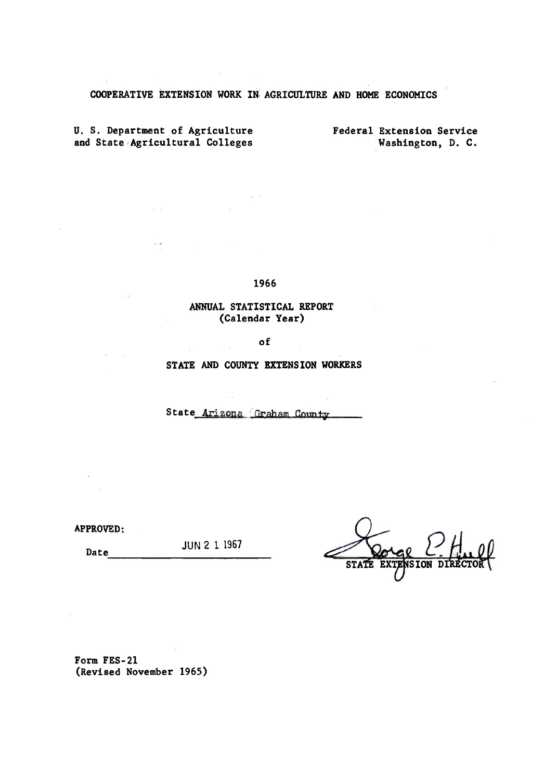## COOPERATIVE EXTENSION WORK IN AGRICULTURE AND HOME ECONOMICS

U. S. Department of Agriculture and State Agricultural Colleges

 $\epsilon \rightarrow$ 

 $\cup$   $\prec$ 

 $\lambda$  .  $\lambda$ 

Federal Extension Service Washington, D. C.

1966

 $\alpha = 1$ 

## ANNUAL STATISTICAL REPORT (Calendar Year)

of

 $\mathcal{L}$ 

STATE AND COUNTY EXTENSION WORKERS

State Arizona Graham County

**APPROVED:** 

Date

**JUN 2 1 1967** 

Form FES-21 (Revised November 1965)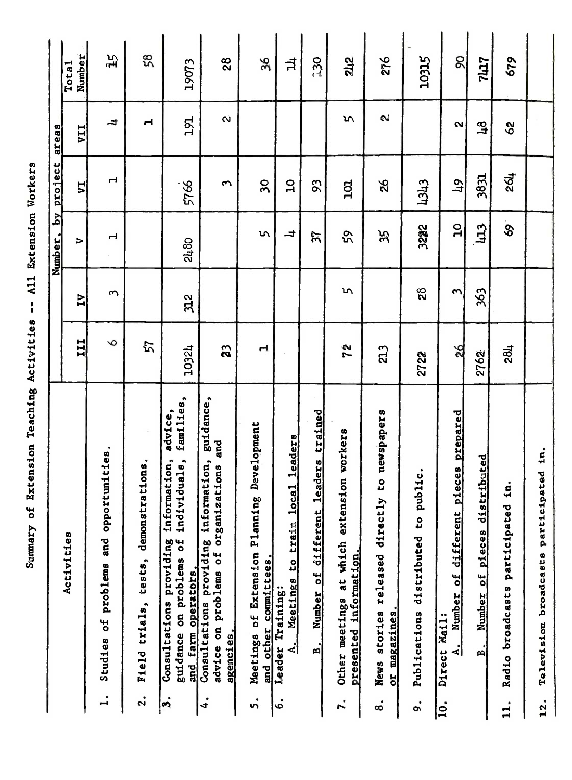Summary of Extension Teaching Activities -- All Extension Workers

|                     |                                                                                                                                      |                |                | Number, by project |                          | areas             |                 |
|---------------------|--------------------------------------------------------------------------------------------------------------------------------------|----------------|----------------|--------------------|--------------------------|-------------------|-----------------|
|                     | Activities                                                                                                                           | <b>III</b>     | $\overline{M}$ | $\triangleright$   | <b>ZA</b>                | <b>IIA</b>        | Number<br>Total |
| $\ddot{ }$          | Studies of problems and opportunities.                                                                                               | $\circ$        | ς              | ᆏ                  | H                        | ᅿ                 | 迅               |
| $\ddot{\mathbf{c}}$ | rations.<br>demonst<br>tests,<br>Field trials,                                                                                       | 57             |                |                    |                          | ᆏ                 | 58              |
| $\cdot$             | families,<br>advice,<br>individuals,<br>information,<br>guidance on problems of<br>providing<br>and farm operators.<br>Consultations | 10324          | 312            | 2480               | 5766                     | 191               | 19073           |
| 4.                  | guidance,<br>and<br>Consultations providing information,<br>advice on problems of organizations<br>agencies.                         | 33             |                |                    | $\sim$                   | Ń                 | 28              |
| ທ່                  | Development<br>ng<br>Meetings of Extension Planni<br>and other committees.                                                           | H              |                | S                  | $\overline{\mathbf{50}}$ |                   | 36              |
| ِ.<br>ف             | Meetings to train local leaders<br>Leader Training:<br><u>ا ج</u>                                                                    |                |                | ᅿ                  | $\mathbf{a}$             |                   | $\vec{a}$       |
|                     | leaders trained<br>Number of different<br>$\mathbf{a}$                                                                               |                |                | $\mathcal{L}$      | 56                       |                   | 250             |
| $\mathbf{r}$        | Other meetings at which extension workers<br>presented information.                                                                  | 72             | īη             | ςά                 | 101                      | m                 | 242             |
| $\dot{\circ}$       | to newspapers<br>News stories released directly<br>or magazines.                                                                     | 213            |                | Ж                  | 92                       | $\sim$            | 276             |
| $\bullet$<br>ò      | public.<br>C,<br>distributed<br>Publications                                                                                         | 2722           | 28             | 3222               | 1343                     |                   | 10315           |
| c                   | pieces prepared<br>different<br>Number of<br>Direct Mail:<br>4.                                                                      | $\frac{26}{2}$ | ო              | $\mathbf{a}$       | $\mathfrak{p}$           | $\mathbf{\alpha}$ | 8               |
|                     | distributed<br>Number of pieces<br>B.                                                                                                | 2762           | 363            | <b>CET</b>         | 3831                     | $\frac{8}{1}$     | <b>LT12</b>     |
| $\vec{a}$           | in.<br>Radio broadcasts participated                                                                                                 | 284            |                | SS,                | 264                      | $\infty$          | 679             |
| 12.                 | Television broadcasts participated in.                                                                                               |                |                |                    |                          |                   |                 |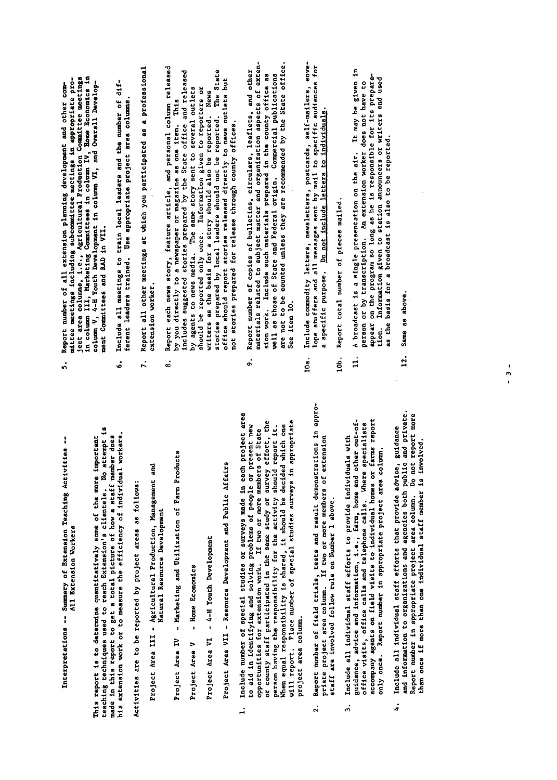Interpretations -- Summary of Extension Teaching Activities --All Extension Workers

his extension work or to measure the efficiency of individual workers. This report is to determine quantitatively some of the more important

Activities are to be reported by project areas as follows:

- Project Area III Agricultural Production, Management and Natural Resource Development
- Marketing and Utilization of Farm Products Project Area IV
- Home Economics Project Area V

- 4-H Youth Development Project Area VI Project Area VII - Resource Development and Public Affairs

- and information to organizations and agencies both public and private. Report number in appropriate project area column. Do not report more  $\frac{d}{dt}$  more than  $\frac{d}{dt}$  member is individual state  $\frac{d}{dt}$  member is involved. project area column.  $\ddot{ }$ 
	- staff are involved follow rule on Number 1 above.  $\ddot{2}$
- accompany agents on field visits to individual homes or farms report Include all individual staff efforts to provide individuals with only once. Report number in appropriate project area column.  $\ddot{ }$
- and information to organizations and agencies both public and private.<br>Report number in appropriate project area column. Do not report more Include all individual staff efforts that provide advice, guidance than once if more than one individual staff member is involved.  $\ddot{i}$
- project area column. ś,
	-
- 
- Interpretations of Extension Teaching Activities  $\frac{1}{2}$  and  $\frac{1}{2}$  and  $\frac{1}{2}$  and  $\frac{1}{2}$ All Extension Workers This report is to determine and more of the more in the more in the more in the more in the more in the more i<br>Some of the more in the more in the more in the more in the more in the more in the more in the more in the mo teaches the control techniques used to reach the control of the control of the control of the control of the c<br>International control of the control of the control of the control of the control of the control of the control made in the state of the state of the state of the state of the state of the state of the state of the state o  $\frac{1}{2}$  extends to measure the efficiency of individual workers. We have the efficiency of  $\frac{1}{2}$ Activities are to be reported by project areas as follows: Project Area III Agricultural Project Area III Agricultural Project Area III Agricultural Production, Manageme<br>Proges Area III Agricultural Production, Management and Project Area III Agricultural Proges<br>Proges Area III Ag Natural Resource Development Project Area IV - Marketing and Utilization of Products and Utilization of Products and Utilization of Product<br>Products and Utilization of Products and Utilization of Products and Utilization of Products and Utilization o Project Area V - Home Economics Area V - Home Economics Area V - Home Economics A Project Area Views Area Views Area Views Area Views Area Views Area Views Area Views Area Views Area Views Are<br>Project Area Views Area Views Area Views Area Views Area Views Area Views Area Views Area Views Area Views Are Project Area VII - Resource Development and Public Affairs and Public Affairs and Public Affairs and Public Af 1. Include 1. Include 1. Include 1. Include 1. Include 1. Include 1. Include 1. Include 1. Include 1. Include <br>The surveys made in the international studies in the survey of the survey of the survey of the survey of the s<br> to a solving and solving problems of people or problems of people or problems of people or problems of people <br>Contains a solving people of people or problems of people of people of people of people of people of people of opportunities for extension work. It would be a state of the State of State of State of State of State of Stat<br>In the State of State of State of State of State of State of State of State of State of State of State of Stat or county stated in the state of the same study of the same study of the survey of the survey of the survey of person having the responsibility for the activity for the activity of the activity of the activity of the acti<br>The activity showld report it. The activity showld report it. It is a showld report it is a showld report it i When equal responsibility is shown that the decidence of the shown of the shown of the shown of the shown of t<br>The decident which one of the shown of the shown of the shown of the shown of the shown of the shown of the sh will report of special studies surveys in a propriet survey in a survey of surveys in a survey of surveys in a<br>The survey of the survey of surveys in a survey of the survey of the survey of the survey of the survey of the 2. Report number of field trials, tests and result of the result of the result of the result of the result of t<br>The result of the result of the result of the result of the result of the result of the result of the result o priate project area column is a column in the project and the more members of the second and the second and th<br>In the second of two or more members of the second and the second and the second and the second and the second staff are in 1932 staff are in Number 1 above. It is a staff of the Internet on Number 1 above. It is a staff 3. Include all individual staff efforts to provide individuals with guidance, advice and information, i.e., farm, home and other out-of
	- office visits, office calls and telephone calls. Where specialists  $\alpha$  and field visits to individual homes or farms  $\alpha$ 
		-
- 
- as the basis for a broadcast is also to be reported. tion.
- Same as above. 12.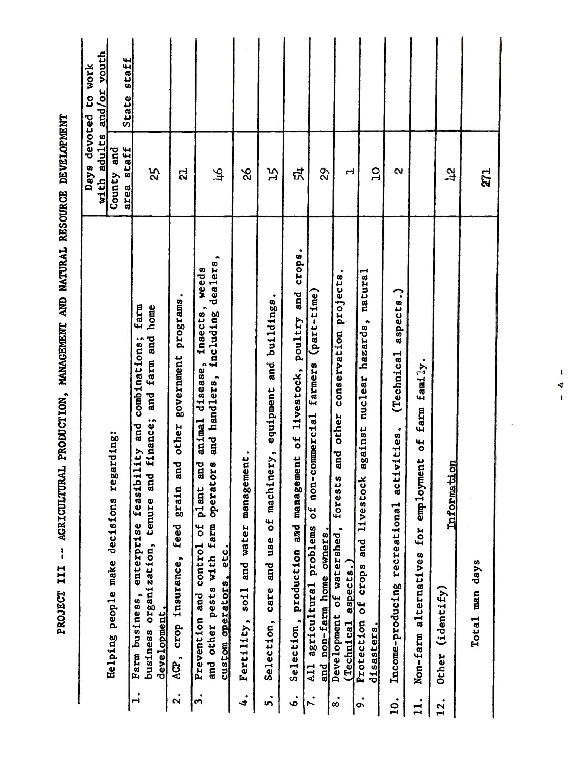| State staff<br>area staff<br>County and<br>ជី<br>$\overline{C}$<br>25<br>$\mathbf{c}$<br>जे<br>9S<br>ΞŚ<br>82<br>$\mathbf{r}$<br>$\mathfrak{p}_1$<br>្បូ<br>271<br>Selection, production and management of livestock, poultry and crops.<br>and handlers, including dealers,<br>weeds<br>conservation projects.<br>natural<br>aspects.)<br>(part-time)<br>programs.<br>equipment and buildings.<br>animal disease, insects,<br>farm<br>business organization, tenure and finance; and farm and home<br>nuclear hazards,<br>Farm business, enterprise feasibility and combinations;<br>(Technical<br>government<br>farm family.<br>non-commercial farmers<br>and other<br>grain and other<br>against<br>activities.<br>employment of<br>machinery,<br>and water management.<br>lant and<br>farm operators<br><b>Information</b><br>forests<br>stock<br>Income-producing recreational<br>$\mathbf{r}$<br>$\frac{4}{5}$<br>live<br>of<br>Prevention and control of<br>feed<br>All agricultural problems<br>Development of watershed,<br>for<br>and non-farm home owners.<br>and use<br>and<br>custom operators, etc.<br>Non-farm alternatives<br>and other pests with<br>crop insurance,<br>aspects.)<br>Total man days<br>Protection of crops<br>care<br>Fertility, soil<br>(identify)<br>development.<br>Selection,<br>(Technical<br>disasters.<br>Other<br>ACP,<br>$\mathbf{I}$<br>$\ddot{\mathbf{c}}$<br>3.<br>4.<br>$\ddot{\mathbf{v}}$<br>ة<br>٠<br>o.<br>10.<br>$\mathbf{L}$<br>12.<br>M<br>$\infty$ |                                          | adults<br>with | and/or youth<br>Days devoted to work |
|----------------------------------------------------------------------------------------------------------------------------------------------------------------------------------------------------------------------------------------------------------------------------------------------------------------------------------------------------------------------------------------------------------------------------------------------------------------------------------------------------------------------------------------------------------------------------------------------------------------------------------------------------------------------------------------------------------------------------------------------------------------------------------------------------------------------------------------------------------------------------------------------------------------------------------------------------------------------------------------------------------------------------------------------------------------------------------------------------------------------------------------------------------------------------------------------------------------------------------------------------------------------------------------------------------------------------------------------------------------------------------------------------------------------------------------------------------------------------------------------------------|------------------------------------------|----------------|--------------------------------------|
|                                                                                                                                                                                                                                                                                                                                                                                                                                                                                                                                                                                                                                                                                                                                                                                                                                                                                                                                                                                                                                                                                                                                                                                                                                                                                                                                                                                                                                                                                                          | Helping people make decisions regarding: |                |                                      |
|                                                                                                                                                                                                                                                                                                                                                                                                                                                                                                                                                                                                                                                                                                                                                                                                                                                                                                                                                                                                                                                                                                                                                                                                                                                                                                                                                                                                                                                                                                          |                                          |                |                                      |
|                                                                                                                                                                                                                                                                                                                                                                                                                                                                                                                                                                                                                                                                                                                                                                                                                                                                                                                                                                                                                                                                                                                                                                                                                                                                                                                                                                                                                                                                                                          |                                          |                |                                      |
|                                                                                                                                                                                                                                                                                                                                                                                                                                                                                                                                                                                                                                                                                                                                                                                                                                                                                                                                                                                                                                                                                                                                                                                                                                                                                                                                                                                                                                                                                                          |                                          |                |                                      |
|                                                                                                                                                                                                                                                                                                                                                                                                                                                                                                                                                                                                                                                                                                                                                                                                                                                                                                                                                                                                                                                                                                                                                                                                                                                                                                                                                                                                                                                                                                          |                                          |                |                                      |
|                                                                                                                                                                                                                                                                                                                                                                                                                                                                                                                                                                                                                                                                                                                                                                                                                                                                                                                                                                                                                                                                                                                                                                                                                                                                                                                                                                                                                                                                                                          |                                          |                |                                      |
|                                                                                                                                                                                                                                                                                                                                                                                                                                                                                                                                                                                                                                                                                                                                                                                                                                                                                                                                                                                                                                                                                                                                                                                                                                                                                                                                                                                                                                                                                                          |                                          |                |                                      |
|                                                                                                                                                                                                                                                                                                                                                                                                                                                                                                                                                                                                                                                                                                                                                                                                                                                                                                                                                                                                                                                                                                                                                                                                                                                                                                                                                                                                                                                                                                          |                                          |                |                                      |
|                                                                                                                                                                                                                                                                                                                                                                                                                                                                                                                                                                                                                                                                                                                                                                                                                                                                                                                                                                                                                                                                                                                                                                                                                                                                                                                                                                                                                                                                                                          |                                          |                |                                      |
|                                                                                                                                                                                                                                                                                                                                                                                                                                                                                                                                                                                                                                                                                                                                                                                                                                                                                                                                                                                                                                                                                                                                                                                                                                                                                                                                                                                                                                                                                                          |                                          |                |                                      |
|                                                                                                                                                                                                                                                                                                                                                                                                                                                                                                                                                                                                                                                                                                                                                                                                                                                                                                                                                                                                                                                                                                                                                                                                                                                                                                                                                                                                                                                                                                          |                                          |                |                                      |
|                                                                                                                                                                                                                                                                                                                                                                                                                                                                                                                                                                                                                                                                                                                                                                                                                                                                                                                                                                                                                                                                                                                                                                                                                                                                                                                                                                                                                                                                                                          |                                          |                |                                      |
|                                                                                                                                                                                                                                                                                                                                                                                                                                                                                                                                                                                                                                                                                                                                                                                                                                                                                                                                                                                                                                                                                                                                                                                                                                                                                                                                                                                                                                                                                                          |                                          |                |                                      |
|                                                                                                                                                                                                                                                                                                                                                                                                                                                                                                                                                                                                                                                                                                                                                                                                                                                                                                                                                                                                                                                                                                                                                                                                                                                                                                                                                                                                                                                                                                          |                                          |                |                                      |
|                                                                                                                                                                                                                                                                                                                                                                                                                                                                                                                                                                                                                                                                                                                                                                                                                                                                                                                                                                                                                                                                                                                                                                                                                                                                                                                                                                                                                                                                                                          |                                          |                |                                      |
|                                                                                                                                                                                                                                                                                                                                                                                                                                                                                                                                                                                                                                                                                                                                                                                                                                                                                                                                                                                                                                                                                                                                                                                                                                                                                                                                                                                                                                                                                                          |                                          |                |                                      |
| $\blacksquare$<br>4<br>$\mathbf{I}$                                                                                                                                                                                                                                                                                                                                                                                                                                                                                                                                                                                                                                                                                                                                                                                                                                                                                                                                                                                                                                                                                                                                                                                                                                                                                                                                                                                                                                                                      |                                          |                |                                      |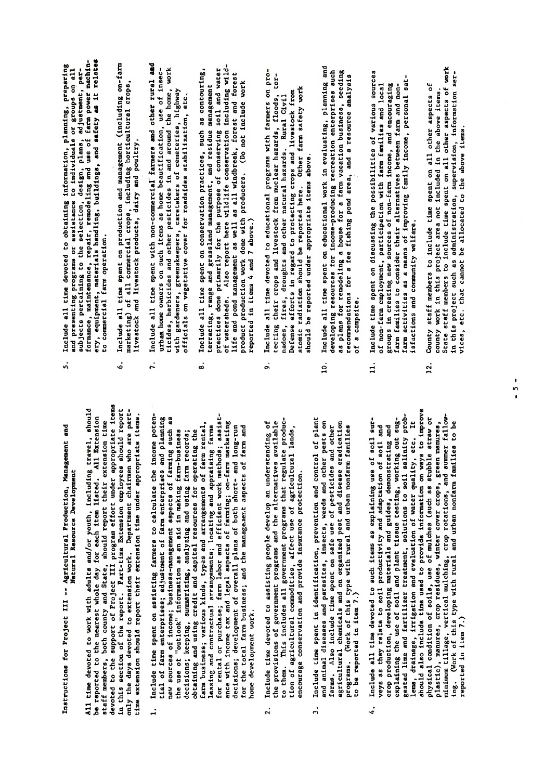Instructions for Project III -- Agricultural Production, Management and Natural Resource Development gested lime and fertilizer treatment, solutions to solutions to solutions to solutions to solutions to solutions to solutions to solutions to solutions to solutions to solutions to solutions to solutions to solutions to s All time devoted to work with adults and/or youth, including travel, should<br>be reported to the mearest whole day for each item listed. All Extension<br>devifiences, both course and Sterie, should report indir extension terms<br>

- $\mathbf{q}$  density, irrigation and evaluation of water  $\mathbf{q}$  $\overline{S}$  is the providence in the providence in the providence in the providence in the providence in the providence in  $\overline{S}$ physical condition of soils, use of mulches as straw or mulches (such as straw or mulches straw or mulches str<br>Straw or mulches straw or mulches straw or mulches straw or mulches straw or mulches straw or mulches and the plastic), manures, crop residues. winter cover crops. green manures. minimum tillage. vertical mulching. vertical mulching. crop rotations, and summer fallowing. (Work of the this type with rural and urban non-this type with rural and urban non-this type with rule of<br>This type with a state of the best of the type with rule of the state of the type with rule of the to be the t home development work.  $\ddot{ }$ 
	- encourage conservation and provide insurance protection. 2.
- to be reported in item 7.)  $\ddot{3}$
- isfactions and community welfare. explaining the use of soil and plant tissue testing, working out sug-<br>gested lime and fertilizer treatment, solutions to soil salinity probveys as they relate to soil productivity and adaptation of soil and<br>crop production, developing materials and guides, demonstrating and  $12.5$  County state time spent on all other aspects of  $\frac{12.5}{12.5}$  $\mathbf{r}_i$  in this project area not included in the above items. State staff members to include time spent on all other aspects of work  $\frac{1}{2}$  the project such as administration, information, information, information, information, information server, information, information, i.e.,  $\frac{1}{2}$  $\vec{c}$  etc. that can not be allocated to the above items. reported in item 7.) 4.
- Instructions for Productions for Project II<br>Instructions for Production. Management and Production. Management and Production. Management and Production. home gele de
	-
	- to be reported in the  $\sim$
- Natural Resource Development All time devoted to work with a should travel. It with a second to the nearest whole day is a second travel. I<br>Including travel. In the nearest whole day for each including the nearest whole day for each including the nea<br> state, showld report of Project members. Both county and States, showld report the support of Project III and <br>devoted the support of Project III project items in the support of Project III and Project III and Project II<br>i in this section of the report of the report. Parties is a report of the report of  $\frac{1}{2}$ only the days devoted to extension who are part-off to extension who are part-off the part-off the part-off the<br>The part-off the part-off the part-off the part-off the part-off the part-off the part-off the part-off the pa 1. Include time spent on a spent on a spent on a spent on a spent on a spent on a spent on a spent o<br>Income potential of farmer of farmer of farmer of farmer of farmer of farmer of farmer of farmer of farmer of farmer of fa<br>In the planning of farmer of farmer of farmer of farmer of farmer of farmer of farmer of farmer of farmer of f  $\mathbf{r}$ ew sources of income; business-management aspects of  $\mathbf{r}$  $\begin{bmatrix} \mathbf{u} & \mathbf{u} & \mathbf{v} & \mathbf{v} & \mathbf{v} & \mathbf{v} & \mathbf{v} & \mathbf{v} & \mathbf{v} & \mathbf{v} & \mathbf{v} & \mathbf{v} & \mathbf{v} & \mathbf{v} & \mathbf{v} & \mathbf{v} & \mathbf{v} & \mathbf{v} & \mathbf{v} & \mathbf{v} & \mathbf{v} & \mathbf{v} & \mathbf{v} & \mathbf{v} & \mathbf{v} & \mathbf{v} & \mathbf{v} & \mathbf{v} & \mathbf{v} & \mathbf{v} & \mathbf{$ decime in the control summarized and using  $\tilde{a}$  and using  $\tilde{a}$  and using  $\tilde{a}$ obtaining and using credit and capital resources for an and capital resources for  $\tilde{r}$  $\overline{a}$ ,  $\overline{a}$  business, the arrangements arrangements of  $\overline{a}$   $\overline{b}$  and  $\overline{c}$ . leasing and contractual arrangements; location and approximation and approximation and approximation and appro for rental or purchase; farmer work methods; farmer work methods; and effects work methods; assisted work meth<br>In the contract work methods; assisted work methods; assisted work methods; assisted work methods; a ance with income tax and legal aspects of the farming of the farming of the farming of the farming of the farm decisions; development of overall plans of the plans of the plans of the both short- and long-run in the short<br>In the contract of the plans of the plans of the plans of the short- and long-run in the short- and long-run i for the total farmers; and the managers of the managers; and the managers of the managers of the managers of t 2. Include time devoted to assisting people develop an understanding of the provisions of government programs and the alternatives available to the manufacture of the products and the products and the products of the products of the products of the pr<br>This is a product product product product products and the products of the products of the products of the pro tion of a gricultural commodities. Affect use of a gricultural lands. A gricultural lands. A gricultural lands<br>La gricultural lands. A gricultural lands. A gricultural lands. A gricultural lands. A gricultural lands. A gr encourage conservation and provide insurance insurance provide insurance provided in a property of the process 19. Include time spent in identication, prevention, prevention and control of plants in the plants of plants o and animal diseases and parasites. In an insect section of the pests on the pests of the pests on the pests of<br>Section perfect on the perfect of the perfect of the perfect of the perfect of the perfect of the perfect of t farms. Also include time species time spent on see the spent of personal of personal or personal of personal o agricultural chemicals and organized pest and disease era programs. This type with the seat of the seat,
- 4. Include all time devoted to such items as explaining use of soil sur-
- 
- of non-farm employment, participation with farm families and local groups in creating new sources of non-farm income, and encouraging farm families to consider their alternatives between farm and non- $\mathbf{u}$  $11.$  Include time spent on discussing the possibilities of various sources of various sources of various sources
- $\mathbf{x}$  $\overrightarrow{p}$  and presenting programs or assistance to individuals or groups or groups on all  $\overrightarrow{p}$  $s_{\rm obs}$  becomes pertaining to the selection, and adjustment.  $p_{\rm obs}$  $\frac{1}{2}$ ery, equipment, materials handling, and safety are laternals handlings, and safety are laternals in the safety<br>experiments have a safety as it relates that the safety are laternals in the safety are laternals in the safet  $t_0$  commercial farm operation.  $\frac{1}{2}$  including  $\frac{1}{2}$  including on-farm and  $\frac{1}{2}$  $m_A$  and commercial crops, including horizontal crops,  $m_B$ livestock and livestock products, dairy and poultry.  $7.7<sub>0</sub>$  include all time spent with non-commercial added and  $\frac{1}{2}$  $\vec{a}$  as home beautification, use of insection, use of insection, use of insection, use of insection, use of insec- $\frac{1}{2}$ ticides and other pesticides in and around the home, working the home, working the home, working  $\frac{1}{2}$  $\frac{d}{dt}$  greens  $\frac{d}{dt}$  $\begin{array}{c} \mathbf{r} \\ \mathbf{r} \end{array}$  on  $\mathbf{r} \in \mathbb{R}$  at roadsides stabilization, etc..  $8.168601$  $\frac{d}{dx}$  range and  $\frac{d}{dx}$  range management, and residue management, and residue management, and residue management, and residue management, and residue management, and residue management, and residue management manage  $p = p$  and  $p = p$  the purpose of conserving solid solid solid solid soil and water  $p = p$  $\frac{1}{2}$  watersheds. Also report here wild-conservation including wild-conservation including wild-conservation including wild-conservation in  $\frac{1}{2}$  $\frac{d}{dt}$  and  $\frac{d}{dt}$  as  $\frac{d}{dt}$ product production work done with producers. (Do not include work  $r_{\rm H}$  and  $r_{\rm H}$  and 7 above.  $\frac{9}{2}$  include a large devoted to educational problems with  $\frac{1}{2}$  include  $\frac{1}{2}$  include  $\frac{1}{2}$  include  $\frac{1}{2}$  include  $\frac{1}{2}$  include  $\frac{1}{2}$  include  $\frac{1}{2}$  include  $\frac{1}{2}$  include  $\frac{1}{2}$  incl  $\frac{1}{2}$  the crops and livestock from nuclear hazards, floods, tor- $\frac{1}{2}$  in the state and other natural hazards. Rural Civilians and other natural civilians  $\frac{1}{2}$  $\begin{array}{c}\n\bullet \\
\bullet \\
\bullet \\
\bullet\n\end{array}$  in regard to protecting crops and livestock from  $\begin{array}{c}\n\bullet \\
\bullet \\
\bullet \\
\bullet\n\end{array}$  $\alpha$  radiation should be reported here. Other farm safety works works are safety works works as  $\alpha$  $\mathbf{B} \neq \mathbf{H}$   $\mathbf{\hat{D}}$  , and above.  $10.$  Include all time spent on  $\frac{1}{2}$  and  $\frac{1}{2}$  and  $\frac{1}{2}$  and  $\frac{1}{2}$  and  $\frac{1}{2}$  $\vec{p}$  developing resources for income-producing recreation enterprises such as  $\vec{p}$  $\frac{1}{2}$  is the contraction business, seeding a farm vacation business, seeding  $\frac{1}{2}$ recommendations for a fee field point  $\tilde{S}$  is defined as  $\tilde{S}$  $\overline{\phantom{a}}$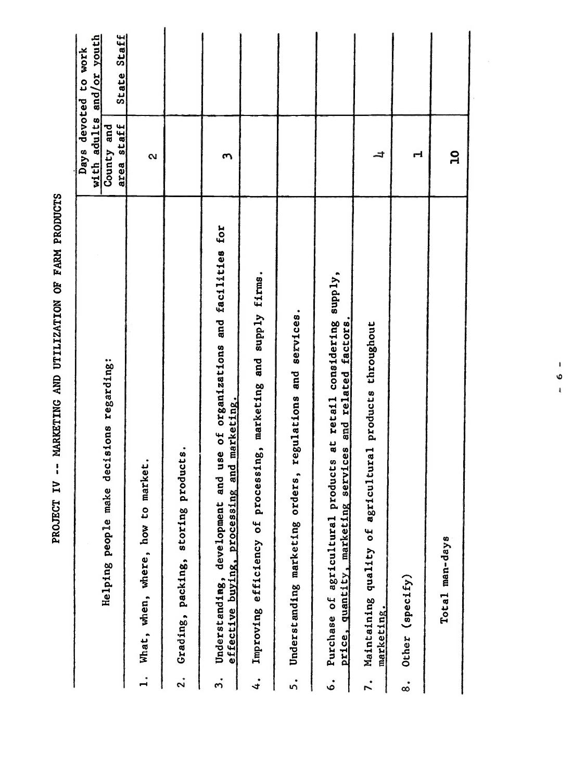|                                                                                                                                                    | with adults<br>Days | and/or youth<br>devoted to work |
|----------------------------------------------------------------------------------------------------------------------------------------------------|---------------------|---------------------------------|
| Helping people make decisions regarding:                                                                                                           | County and          |                                 |
|                                                                                                                                                    | staff<br>area       | State Staff                     |
| market.<br>$\mathfrak{c}$<br>how<br>What, when, where,<br>$\ddot{ }$                                                                               | 2                   |                                 |
| products.<br>storing<br>Grading, packing,<br>$\mathbf{S}$                                                                                          |                     |                                 |
| and use of organizations and facilities for<br>effective buying, processing and marketing.<br>development<br>Understanding,<br>$\ddot{ }$          | $\mathbf{c}$        |                                 |
| processing, marketing and supply firms.<br>Improving efficiency of<br>4.                                                                           |                     |                                 |
| regulations and services.<br>Understanding marketing orders,<br>5.                                                                                 |                     |                                 |
| supply,<br>services and related factors.<br>Purchase of agricultural products at retail considering<br>price, quantity, marketing<br>$\dot{\circ}$ |                     |                                 |
| Maintaining quality of agricultural products throughout<br>marketing.<br>7.                                                                        | ᅿ                   |                                 |
| Other (specify)<br>$\dot{\infty}$                                                                                                                  | H                   |                                 |
| Total man-days                                                                                                                                     | $\mathbf{a}$        |                                 |
|                                                                                                                                                    |                     |                                 |
| $\pmb{\cdot}$<br>O<br>$\frac{1}{2}$                                                                                                                |                     |                                 |
|                                                                                                                                                    |                     |                                 |
|                                                                                                                                                    |                     |                                 |
|                                                                                                                                                    |                     |                                 |

PROJECT IV -- MARKETING AND UTILIZATION OF FARM PRODUCTS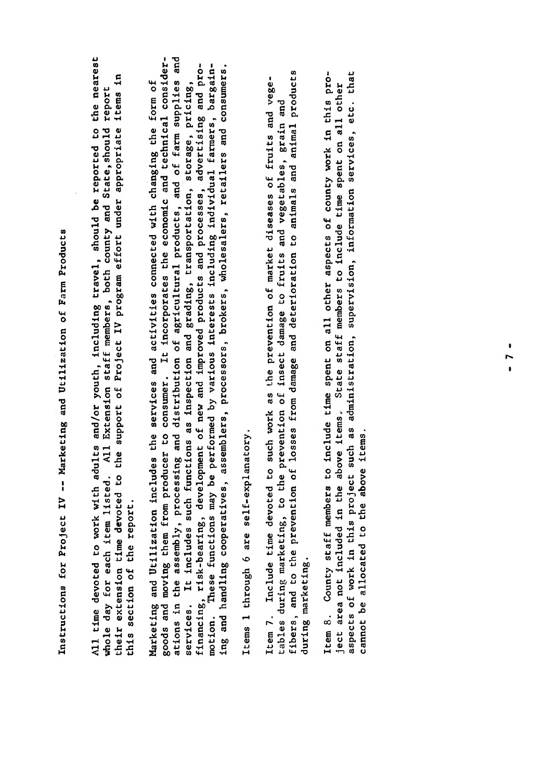Instructions for Project IV -- Marketing and Utilization of Farm Products

All time devoted to work with adults and/or youth, including travel, should be reported to the nearest whole day for each item listed. All Extension staff members, both county and State, should report this section of the report.

 $\mathbf{F}$  -- Marketing and Utilizations for  $\mathbf{F}$  -- Marketing and Utilization of  $\mathbf{F}$  $A$ l time devoted to work with a solution or youth, including travel, should be reported to the nearest  $\frac{1}{2}$  $\mathcal{B}$  day for each item listed. All Extension states  $\mathcal{B}$  members, both county and State, should report and States and States and States and States and States and States and States and States and States and States the support of  $\mathbb{R}^n$  and  $\mathbb{R}^n$  project in  $\mathbb{R}^n$  by independent under appropriate items in  $\mathbb{R}^n$  and  $\mathbb{R}^n$  in  $\mathbb{R}^n$  in  $\mathbb{R}^n$  in  $\mathbb{R}^n$  in  $\mathbb{R}^n$  in  $\mathbb{R}^n$  in  $\mathbb{R}^n$  in  $\math$  $\begin{array}{ccc} 0 & \text{if} & \text{if} & \text{if} & \text{if} & \text{if} & \text{if} & \text{if} & \text{if} & \text{if} & \text{if} & \text{if} & \text{if} & \text{if} & \text{if} & \text{if} & \text{if} & \text{if} & \text{if} & \text{if} & \text{if} & \text{if} & \text{if} & \text{if} & \text{if} & \text{if} & \text{if} & \text{if} & \text{if} & \text{if} & \text{if} & \text{if} & \text{if} & \text{if} & \text{if} & \text{if} &$ Marketing and Utilization includes the services and activities and activities connected with changing the form<br>
activities connected with changing the form of form of the form of the form of the form of the form of the fo  $g_{\text{u}}$  and moving them from producer to consumer. It is incorporated the economic and technical constants the economic and technical constants the economic and technical constants the economic and technical constants o ations in the assembly products, and distribution of a gricultural products, and other agricultural products, <br>Supplies and other products, and of farm supplies and other supplies and other supplies and other supplies and services. It includes such functions as inspection and grading, transportation, 'storage, pricing,  $\begin{array}{ccc} \mathbf{c} & \mathbf{d} & \mathbf{c} & \mathbf{c} \\ \mathbf{c} & \mathbf{d} & \mathbf{c} & \mathbf{c} \\ \mathbf{c} & \mathbf{d} & \mathbf{c} & \mathbf{c} \end{array}$  $\mathbf{H}$  in the performance functions may be performed by various individual farmers, bargaining and handling cooperatives, assemblers, processors, brokers, wholesalers, retailers and consumers. Items <sup>1</sup> through <sup>6</sup> are self-explanatory. Item 7. Include time devoted to such work as the prevention of market diseases of fruits and vegetables during marketing, to the prevention of insect damage to fruits and vegetables, grain and vegetables, gr<br>Second vegetables, grain and vegetables, grain and vegetables, grain and vegetables, grain and vegetables, gra  $\begin{array}{ccc} \bullet & \bullet & \bullet & \bullet \\ \bullet & \bullet & \bullet & \bullet \\ \bullet & \bullet & \bullet & \bullet \end{array}$  for an analyze  $\begin{array}{ccc} \bullet & \bullet & \bullet \\ \bullet & \bullet & \bullet \\ \bullet & \bullet & \bullet \end{array}$ Marketing and Utilization includes the services and activities connected with changing the form of<br>goods and moving them from producer to consumer. It incorporates the economic and technical consider-<br>ations in the assembl  $\ddot{x}$  statem  $\ddot{x}$  and all other aspects of county work in the county work in the county work in the county work in the county work in the county work in the county work in the county work in the county work in the co ject area not included in the above items. State staff members to include time spent on all other  $\begin{array}{ccc} \mathbf{a} & \mathbf{b} & \mathbf{c} \\ \mathbf{c} & \mathbf{c} & \mathbf{c} \\ \mathbf{d} & \mathbf{c} & \mathbf{c} \end{array}$  $\mathbf{p}$  and above items. The above items.

Items 1 through 6 are self-explanatory.

during marketing.

cannot be allocated to the above items.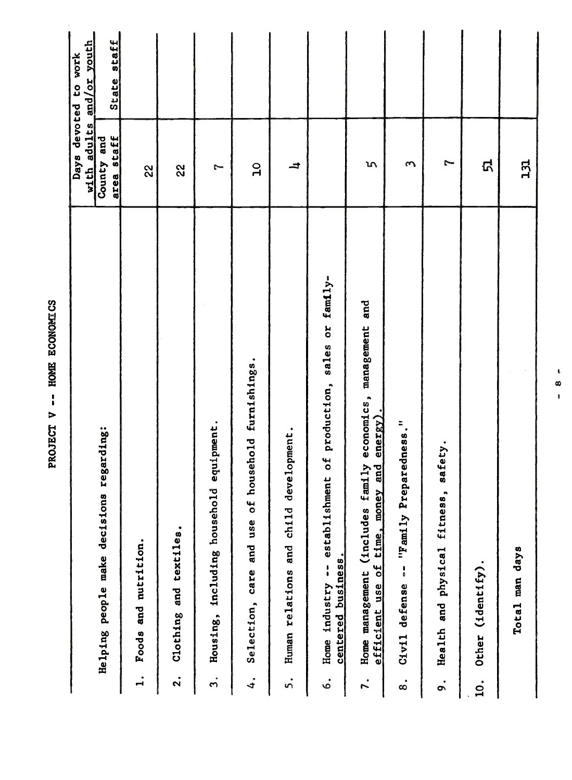|                                               |                                                                                                               | with adults              | and/or youth<br>Days devoted to work |
|-----------------------------------------------|---------------------------------------------------------------------------------------------------------------|--------------------------|--------------------------------------|
|                                               | regarding:<br>Helping people make decisions                                                                   | area staff<br>County and | State staff                          |
| $\ddot{ }$                                    | Foods and nutrition.                                                                                          | 22                       |                                      |
| $\ddot{2}$ .                                  | Clothing and textiles.                                                                                        | 22                       |                                      |
| Housing,<br>$\ddot{ }$                        | equipment.<br>including household                                                                             | 7                        |                                      |
| $\ddot{4}$                                    | household furnishings.<br>Selection, care and use of                                                          | $\overline{a}$           |                                      |
| 5.                                            | evelopment.<br>᠊ᢦ<br>Human relations and child                                                                | ᅿ                        |                                      |
| centered business.<br>Home industry<br>.<br>ف | establishment of production, sales or family-<br>$\frac{1}{4}$                                                |                          |                                      |
| $\vec{r}$ .                                   | and<br>economics, management<br>efficient use of time, money and energy).<br>Home management (includes family | S                        |                                      |
| Civil defense<br>$\dot{\infty}$               | "- "Family Preparedness."                                                                                     | S                        |                                      |
| o.                                            | safety.<br>Health and physical fitness,                                                                       | 7                        |                                      |
| Other (identify).<br>$\overline{10}$ .        |                                                                                                               | <u>ଘ</u>                 |                                      |
|                                               | Total man days                                                                                                | 131                      |                                      |
|                                               | $\pmb{\mathfrak{t}}$<br>œ<br>$\mathbf{I}$                                                                     |                          |                                      |
|                                               |                                                                                                               |                          |                                      |
|                                               |                                                                                                               |                          |                                      |

PROJECT V -- HOME ECONOMICS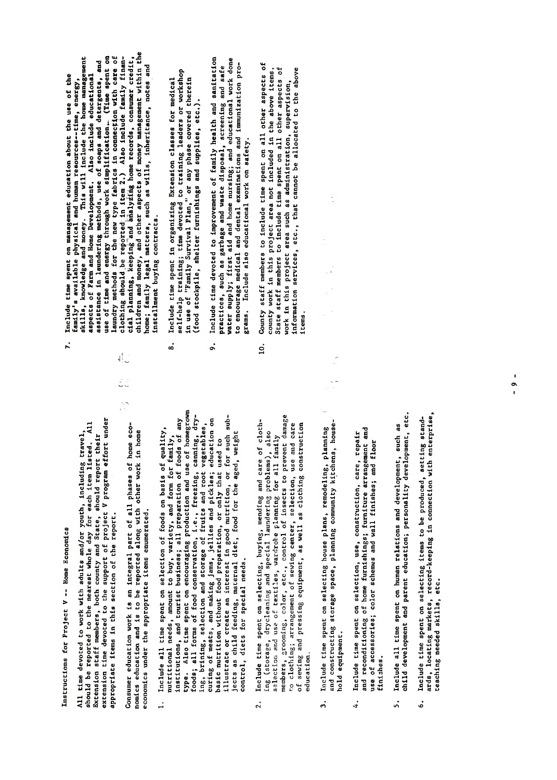Instructions for Project V -- Home Economics

appropriate items in this section of the report.

economics under the appropriate items enumerated.

- child development and parent education; personality development, etc., personality development, etc., personal<br>In the contraction; personality development, etc., personality development, etc., personality development, etc All time devoted to work with adults and/or youth, including travel,<br>should be reported to the maerest whole day for each item listed. All<br>Extension staff members, both county and State, should report their<br>extension staff 1, Include time spent on selection in the produced time spent on setting in the produced standard in the produc<br>In the produced, setting in connection with enterprise, record-keeping in connection with the produced state o control, diets for special needs.  $\ddot{ }$ 
	- education.  $\overline{2}$ .
- hold equipment.  $\ddot{3}$
- use of accessories; color schemes and wall finishes; and floor finishes.  $\ddot{ }$
- Include all time spent on human relations and development, such as<br>child development and parent education; personality development, etc. 5.
- ards, locating markets, record-keeping in connection with enterprise, Include time spent on selecting items to be produced, setting standteaching needed skills, etc. .,
- Instructions for Property of Property and Property of Property and Property and Property and Property and Prop<br>International Property and Property and Property and Property and Property and Property and Property and Prope<br> Include time spent on management education about the use of the All time devoted to work with adults and/or youth, including travel, showld be reported to the report of the contract whole day is a listed of the contract who has a list of the c<br>Medicinal interest whole day is a listed of the contract who has a listed of the contract who has a listed of Extension state members and State members and State county and State of the State of the State of the State of<br>State of the State of the State of the State of the State of the State of the State of the State of the State extension time devoted to the support of project v project v project v project v project v project v project v<br>Displayed to the support under the support under the support under the support of the support of the support o appropriate items in the report of the report of the report of the report of the report of the report. It is a<br>This section of the report of the report of the report of the report of the report of the report of the report Pensumer education work is an integral part of the season of the season of the season of the season of the seas<br>The season of the season of the season of the season of the season of the season of the season of the season o  $\frac{1}{2}$  is the function and is to be reported and in  $\frac{1}{2}$  is to be reported as  $\frac{1}{2}$  in  $\frac{1}{2}$  in  $\frac{1}{2}$  in  $\frac{1}{2}$  in  $\frac{1}{2}$  in  $\frac{1}{2}$  in  $\frac{1}{2}$  in  $\frac{1}{2}$  in  $\frac{1}{2}$  in  $\frac{1}{2}$  in  $\frac{1$ economics und appropriate in the appropriate in the appropriate in the appropriate in the appropriate in the s<br>Second approximate in the approximation in the approximation of the second in the second in the second in the  $\frac{1}{2}$   $\frac{1}{2}$   $\frac{1}{2}$   $\frac{1}{2}$   $\frac{1}{2}$   $\frac{1}{2}$   $\frac{1}{2}$   $\frac{1}{2}$   $\frac{1}{2}$   $\frac{1}{2}$   $\frac{1}{2}$   $\frac{1}{2}$   $\frac{1}{2}$   $\frac{1}{2}$   $\frac{1}{2}$   $\frac{1}{2}$   $\frac{1}{2}$   $\frac{1}{2}$   $\frac{1}{2}$   $\frac{1}{2}$   $\frac{1}{2}$   $\frac{1}{2}$   $\frac{1}{2}$ utritional needs, and for family, and for family, and for  $\frac{1}{2}$  $\frac{1}{2}$  and touring business; and to the foods of any preparation of  $\frac{1}{2}$  of  $\frac{1}{2}$  of  $\frac{1}{2}$  of  $\frac{1}{2}$  of  $\frac{1}{2}$  of  $\frac{1}{2}$  of  $\frac{1}{2}$  of  $\frac{1}{2}$  of  $\frac{1}{2}$  of  $\frac{1}{2}$  of  $\frac{1}{2}$  of  $\frac{1}{2$  $\frac{1}{2}$  the spent of  $\frac{1}{2}$  is the spent of  $\frac{1}{2}$  and use of  $\frac{1}{2}$  and use of  $\frac{1}{2}$  and use of  $\frac{1}{2}$  and use of  $\frac{1}{2}$  and use of  $\frac{1}{2}$  and use of  $\frac{1}{2}$  and use of  $\frac{1}{2}$  and use of  $\frac{$ forms of forms of forms of forms of forms of forms of forms of forms of forms of forms of the forms of forms o<br>Executive conservation, cannon cannon cannon cannon cannon cannon cannon cannon cannon cannon cannon cannon ca<br> end bring, bring, selection and storage of fruits and root vegetables, selection and root vegetables, and root<br>Bring, selection and root vegetables, selection and root vegetables, selection and root vegetables, and root v Jegoring of meats, pickles; pickles; pickles; education on pickles; education on pickles; education on pickles basic nutrition with the parallel of the parallel of the use of the use of the use of the used to the used to <br>Basic parallel to the use of the used to the used to the used to the used to the used to the used to the used personaliste and developed interest in good number in good number in good number in good number in such such s<br>Personaliste and developed in good number in good number in sube child feed food for the age for the age for the age of the age of the age of the age of the age of the age o<br>Between the age of the age of the age of the age of the age of the age of the age of the age of the age of the control, die te special needs.<br>Special needs for special needs 2. Include time spent on selection of clothin de special laundering and special laundering problems), also problems in the special launder of the special  $s = \frac{1}{2}$ . And use of the planning for all family for all family  $s = \frac{1}{2}$  and  $s = \frac{1}{2}$  and  $s = \frac{1}{2}$  and  $s = \frac{1}{2}$  and  $s = \frac{1}{2}$  and  $s = \frac{1}{2}$  and  $s = \frac{1}{2}$  and  $s = \frac{1}{2}$  and  $s = \frac{1}{2}$  and  $s = \frac{1}{2}$ members, groots, groots, color, etc., color, etc., control of insects to prevent damage of insects to prevent to clothing; arrangement of several center, selection, use and care center, and care care care care care care c of sewing and pressing and pressing equipment, as well as a construction of the construction of the constructio education. a baas and spent on selection on selection on the spent of the spent of the spent of the spent of the spent of and constructing storage space, planning community kitchens, house- $\mathbf{r}$

 $\ddot{\varepsilon}$ :

- 
- 

 $4.1$  Include time spent on selection, use, construction, care, repairs  $\alpha$ and reconditioning of home furnishings; furniture arrangement and  $u$ se of accessories; color schem $s$  and wall finishes; and floor schemes; and floor schemes; and floor schemes; and floor schemes; and floor schemes; and floor schemes; and floor schemes; and floor schemes; and floor sch

 $5.5.$  Include all time spent on human relations and development, such as  $\sim$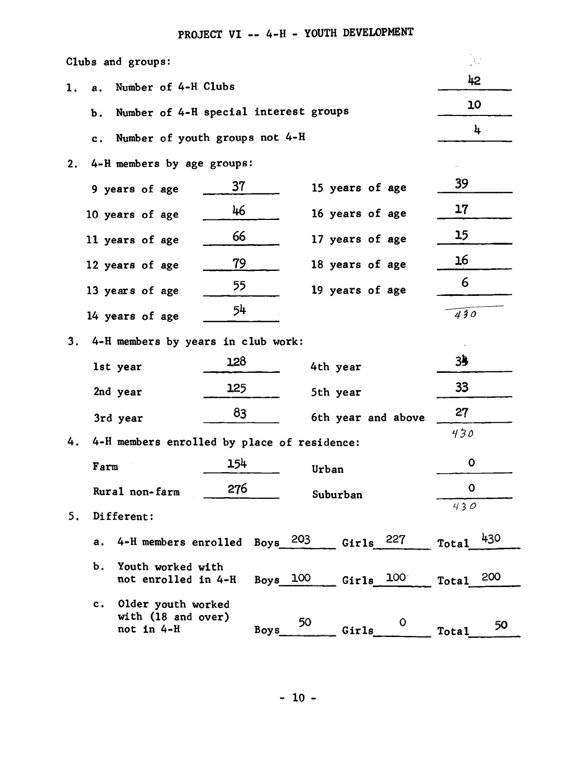PROJECT VI -- 4-H - YOUTH DEVELOPMENT

|    |             | Clubs and groups:                                      |     |             |          |                    | JU.          |     |
|----|-------------|--------------------------------------------------------|-----|-------------|----------|--------------------|--------------|-----|
| 1. | а.          | Number of 4-H Clubs                                    |     |             |          |                    | 42           |     |
|    | Ъ.          | Number of 4-H special interest groups                  |     |             |          |                    | 10           |     |
|    | $c_{\star}$ | Number of youth groups not 4-H                         |     |             |          |                    |              | 4   |
| 2. |             | 4-H members by age groups:                             |     |             |          |                    |              |     |
|    |             | 9 years of age                                         | 37  |             |          | 15 years of age    | 39           |     |
|    |             | 10 years of age                                        | 46  |             |          | 16 years of age    | 17           |     |
|    |             | 11 years of age                                        | 66  |             |          | 17 years of age    | 15           |     |
|    |             | 12 years of age                                        | 79  |             |          | 18 years of age    | 16           |     |
|    |             | 13 years of age                                        | 55  |             |          | 19 years of age    | 6            |     |
|    |             | 14 years of age                                        | 54  |             |          |                    | 430          |     |
| 3. |             | 4-H members by years in club work:                     |     |             |          |                    |              |     |
|    |             | 1st year                                               | 128 |             | 4th year |                    | 35           |     |
|    |             | 2nd year                                               | 125 |             | 5th year |                    | 33           |     |
|    |             |                                                        | 83  |             |          |                    | 27           |     |
|    |             | 3rd year                                               |     |             |          | 6th year and above | 430          |     |
| 4. | Farm        | 4-H members enrolled by place of residence:            | 154 |             |          |                    | 0            |     |
|    |             |                                                        |     |             | Urban    |                    | 0            |     |
|    |             | Rural non-farm                                         | 276 |             |          | Suburban           | 430          |     |
| 5. |             | Different:                                             |     |             |          |                    |              |     |
|    | а.          | 4-H members enrolled                                   |     | Boys        | 203      | Girls $227$        | <b>Total</b> | 430 |
|    | Ъ.          | Youth worked with<br>not enrolled in 4-H               |     | Boys        | 100      | Girls $100$        | Total        | 200 |
|    | c.          | Older youth worked<br>with (18 and over)<br>not in 4-H |     | <b>Boys</b> | 50       | Girls              | <b>Total</b> | 50  |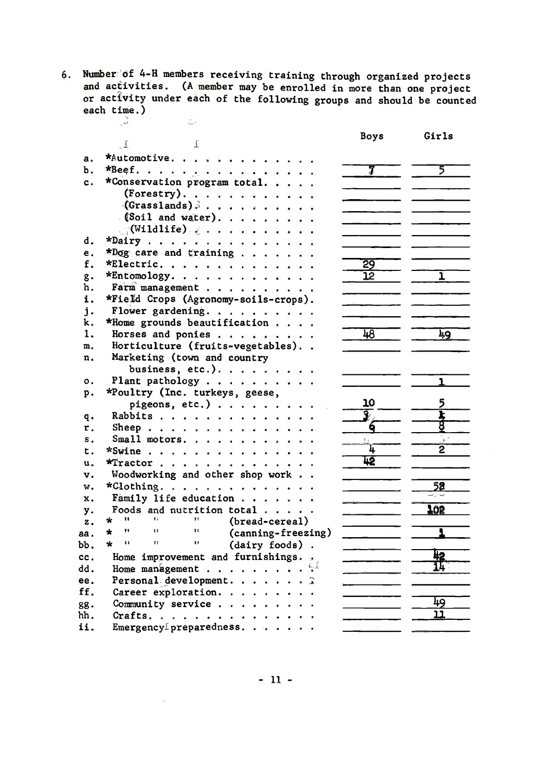6. Number of 4-H members receiving training through organized projects and activities. (A member may be enrolled in more than one project<br>or activity under each of the following groups and should be counted each time.)  $\mathbb{C}$  $\sum_{i=1}^n \frac{1}{i} \sum_{i=1}^n \frac{1}{i} \sum_{i=1}^n \frac{1}{i} \sum_{i=1}^n \frac{1}{i} \sum_{i=1}^n \frac{1}{i} \sum_{i=1}^n \frac{1}{i} \sum_{i=1}^n \frac{1}{i} \sum_{i=1}^n \frac{1}{i} \sum_{i=1}^n \frac{1}{i} \sum_{i=1}^n \frac{1}{i} \sum_{i=1}^n \frac{1}{i} \sum_{i=1}^n \frac{1}{i} \sum_{i=1}^n \frac{1}{i} \sum_{i=1}^n \frac{$ 

|                |                                                                      | Boys                     | Girls           |
|----------------|----------------------------------------------------------------------|--------------------------|-----------------|
|                | $\Gamma$<br>$\cdot$ $\cdot$                                          |                          |                 |
| а.             | *Automotive.                                                         |                          |                 |
| Ъ.             | *Beef.                                                               | 7                        | 5               |
| c.             | *Conservation program total.                                         |                          |                 |
|                | (Forestry).                                                          |                          |                 |
|                | $(Grass1ands)$ .                                                     |                          |                 |
|                | $(soil$ and water).                                                  |                          |                 |
|                | $\mathcal{C}(\text{Willdlife}) \geq \cdots \cdots \cdots$            |                          |                 |
| d.             | *Dairy                                                               |                          |                 |
| е.             | *Dog care and training                                               |                          |                 |
| f.             | *Electric.                                                           | $\overline{29}$          |                 |
| g.             | $*$ Entomology.                                                      | $\overline{12}$          | ı               |
| h.             | Farm management                                                      |                          |                 |
| i.             | *Field Crops (Agronomy-soils-crops).                                 |                          |                 |
| $\mathbf{i}$ . | Flower gardening.                                                    |                          |                 |
| k.             | *Home grounds beautification                                         |                          |                 |
| 1.             | Horses and ponies                                                    | 48                       | 49              |
| m.             | Horticulture (fruits-vegetables)                                     |                          |                 |
| n.             | Marketing (town and country                                          |                          |                 |
|                | business, etc.).                                                     |                          |                 |
| о.             | Plant pathology                                                      |                          | ı.              |
| p.             | *Poultry (Inc. turkeys, geese,                                       |                          |                 |
|                | pigeons, etc.)                                                       | 10                       |                 |
| q.             | Rabbits                                                              |                          | I               |
| r.             | Sheep.                                                               |                          |                 |
| $s$ .          | Small motors.                                                        |                          |                 |
| t.             | *Swine                                                               | ìī.                      |                 |
| u.             | *Tractor                                                             | 42                       |                 |
| v.             | Woodworking and other shop work                                      |                          |                 |
| w.             | *Clothing.                                                           |                          | $\overline{52}$ |
| x.             | Family life education                                                | $\overline{\phantom{a}}$ |                 |
| у.             | Foods and nutrition total $\cdots$ .                                 |                          | 102             |
| z.             | * "<br><b>TELEVISION</b><br>$11 -$<br>(bread-cereal)                 |                          |                 |
| aa .           | 11<br>$\mathbf{H}$<br>$\mathbf{11}$<br>$\star$<br>(canning-freezing) |                          |                 |
| bb.            | $H = 100$<br>$\mathbf{11}$<br>$\mathbf{r}$<br>(dairy foods).         |                          |                 |
| cc.            | Home improvement and furnishings.                                    |                          |                 |
| dd.            | Home management $\mathbb{S}^1$                                       |                          |                 |
| ee.            | Personal development. $\hat{a}$                                      | the control of the con-  |                 |
| ff.            | Career exploration.                                                  |                          |                 |
| gg.            | Community service                                                    |                          | 49              |
| hh.            | Crafts.                                                              |                          | ננ              |
| ii.            | Emergency preparedness.                                              |                          |                 |

 $-11 -$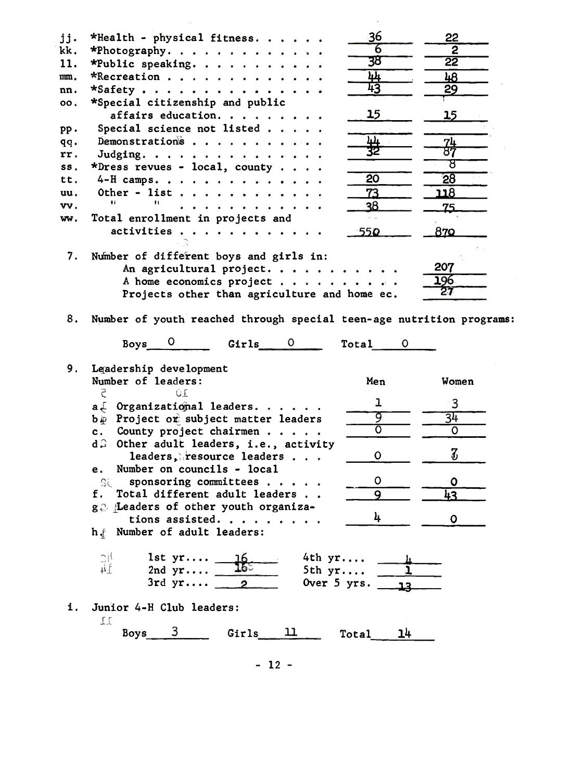| jj. | *Health - physical fitness.                                   | 36                                         | 22                         |
|-----|---------------------------------------------------------------|--------------------------------------------|----------------------------|
| kk. | *Photography.                                                 | 6                                          | $\overline{2}$             |
| 11. | *Public speaking.                                             | 38                                         | $\overline{22}$            |
| mm. | *Recreation                                                   | <u>կկ</u>                                  | 48                         |
| nn. | $\star$ Safety                                                | 43                                         | 29                         |
| oo. | *Special citizenship and public                               |                                            |                            |
|     | affairs education.                                            | 15                                         | 15                         |
| pp. | Special science not listed                                    |                                            |                            |
| qq. | Demonstrations                                                | 出<br>32                                    | <u>74</u><br>87            |
| rr. | Judging.                                                      |                                            |                            |
| SS. | *Dress revues - local, county                                 |                                            | ਲ                          |
| tt. | $4-H$ camps.                                                  | $\overline{20}$                            | $\overline{28}$            |
| uu. | Other - list                                                  | 73                                         | <u> 118</u>                |
| vv. | Ħ.<br>$^{\prime}$<br>.                                        | 38                                         | 75.                        |
| ww. | Total enrollment in projects and                              |                                            |                            |
|     | activities                                                    | 550                                        | 870                        |
|     |                                                               |                                            |                            |
| 7.  | Number of different boys and girls in:                        |                                            |                            |
|     | An agricultural project.                                      |                                            | 207                        |
|     | A home economics project                                      |                                            | 196                        |
|     | Projects other than agriculture and home ec.                  |                                            | 27                         |
| 9.  | Girls 0<br>Boys<br>Leadership development                     | Total                                      |                            |
|     |                                                               |                                            |                            |
|     |                                                               |                                            |                            |
|     | Number of leaders:<br>ÜE                                      | Men                                        | Women                      |
|     | Ë                                                             | ı                                          | 3                          |
|     | a. Organizational leaders.                                    | वृ                                         |                            |
|     | b.p Project or subject matter leaders<br>$\mathbf{c}$ .       | $\overline{O}$                             | 34<br>$\circ$              |
|     | County project chairmen<br>d S                                |                                            |                            |
|     | Other adult leaders, i.e., activity                           | O                                          | $\boldsymbol{\mathcal{J}}$ |
|     | leaders, resource leaders<br>Number on councils - local<br>e. |                                            |                            |
|     | sponsoring committees<br>SC                                   | O                                          | $\mathbf{o}$               |
|     | Total different adult leaders                                 | 9                                          |                            |
|     | ge Leaders of other youth organiza-                           |                                            | 43                         |
|     | tions assisted.                                               | 4                                          | O                          |
|     | h. Number of adult leaders:                                   |                                            |                            |
|     | υļ<br>$1st$ $yr$ .<br>4th yr                                  |                                            |                            |
|     | #f<br>2nd $yr$<br>5th yr                                      |                                            |                            |
|     | 3rd $yr$ 2                                                    | Over 5 yrs. $\overline{\phantom{0}}$<br>12 |                            |
| i.  | Junior 4-H Club leaders:                                      |                                            |                            |
|     | ΠT<br>3<br>11<br>Girls<br>Boys                                | 14<br>Total                                |                            |
|     |                                                               |                                            |                            |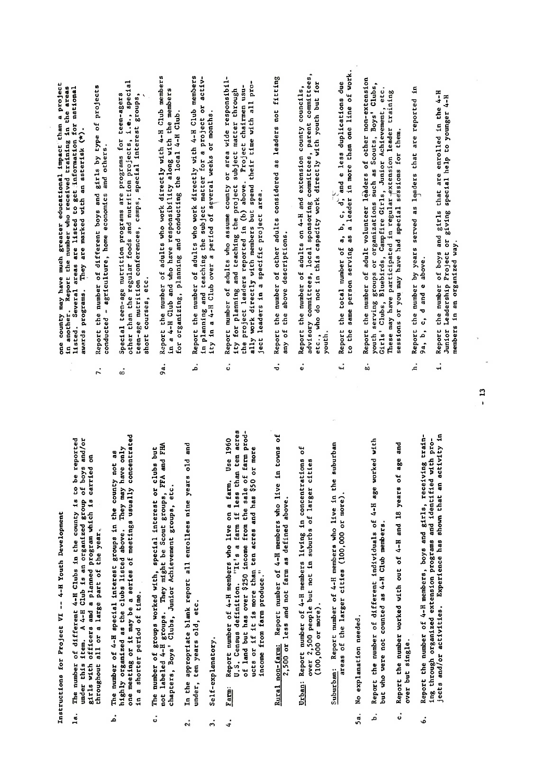Instructions for Project VI -- 4-H Youth Development

- throughout all or a large part of the year.  $\ddot{a}$ .
- number of 4-H special interest groups in the county not as in a shorter period of time. **The** .<br>م
- The number of groups worked with, special interest or clubs but  $\ddot{\circ}$
- under, ten years old, etc. 2.
- Self-explanatory.  $\ddot{ }$

4.

- 6. Report the number of 4-H members, boys and girls, receiving training through organized extension programs and identified with projects and/or activities. Experience has shown that an activity in Income from farm produce."  $Farm$ :</u>
	- $2,500$  or less and not farm as defined above.
- $(100,000$  or more).
- areas of the larger cities (100,000 or more).
- No explanation needed. Sa.
- but who were not counted as 4-H Club members. .<br>م
- Report the number worked with out of 4-H and 18 years of age and over but single. ..
- $1.6$  Report that are enrolled in the  $4-1.6$  $J_{\rm L}$ eadership Project or giving special help to  $J_{\rm L}$ members in an organized way. .,

one county may have much greater educational impact than a project<br>in another. Report the number who received training in the areas<br>listed, Several areas are listed to get information for national<br>awards programs. They are

- 
- throughout a large part of the year.<br>Throughout a large part of the year.<br>The year of the year of the year.  $\ddot{x}$  a shorter period of  $\ddot{x}$ . under, ten e frug *a*fge ge,  $\frac{1}{2}$  ,  $\frac{1}{2}$  ,  $\frac{1}{2}$  ,  $\frac{1}{2}$  ,  $\frac{1}{2}$  ,  $\frac{1}{2}$
- b. Report the number of different individuals of 4-H age worked with
- 
- la o The number of different 4-H  $\alpha$  in the county is to be reported to be reported to be reported to be reported to be reported to be reported to be reported to be reported to be reported to be reported to be reported t under the state in the field group of  $\mathbb{R}^2$  is an organized group of  $\mathbb{R}^2$ girls with one and a planned program which is carried on a planned program which is carried on a planned only <br>In a planned on a planned on a planned on a planned on a planned only a planned on a planned on a planned on a  $\tilde{\mathbf{a}}$ . The number of  $\tilde{\mathbf{a}}$  interest groups interest groups in the county of  $\tilde{\mathbf{a}}$  $h$ ighly organized as the clubs listed as the clubs listed as  $\frac{1}{2}$  may have only  $\frac{1}{2}$  may have only  $\frac{1}{2}$  may have only  $\frac{1}{2}$  may have only  $\frac{1}{2}$  may have only  $\frac{1}{2}$  may have  $\frac{1}{2}$  may have  $\overline{a}$  or  $\overline{a}$  and  $\overline{a}$  are a series of meeting usually concentrated usually concentrated usually concentrated usually concentrated usually concentrated usually concentrated usually  $\overline{a}$ c. The number of groups with the number of groups with the special interest of clubs but interest or clubs but<br>Although the special interest of clubs but in the special interest of the special interest of the special inte not label 4-H groups. They might be Scout groups, FFA and FHA and FHA and FHA and FHA and FHA and FHA and FHA chapters, Boys' Clubs, Junior Achievement groups, Junior Achievement groups, 1980, 2002, etc., 2003, 1980, 200 2. In the appropriate blank report all enrollees nine years old and  $\frac{1}{2}$   $\frac{1}{2}$   $\frac{1}{2}$   $\frac{1}{2}$   $\frac{1}{2}$   $\frac{1}{2}$   $\frac{1}{2}$   $\frac{1}{2}$   $\frac{1}{2}$   $\frac{1}{2}$   $\frac{1}{2}$   $\frac{1}{2}$   $\frac{1}{2}$   $\frac{1}{2}$   $\frac{1}{2}$   $\frac{1}{2}$   $\frac{1}{2}$   $\frac{1}{2}$   $\frac{1}{2}$   $\frac{1}{2}$   $\frac{1}{2}$   $\frac{1}{2}$  U.S. Census definitions definitions and ten acres than the farm in the second ten acres to the second ten acre<br>It is a farmer of the farmer in the second ten acres to the second ten acres to the second ten acres to the se of 1986 over 1986 prodestand but has over 1986 produced the sale of farmer produced the sale of farm produced ucts or if it is more than that is more than that is a set of that is a set of that is a set of than the set o<br>I show that is a set of the set of the set of the set of the set of the set of the set of the set of the set o Rural non-farming in the parameter of the farming in the farming in the farming of the farming in the second s 2,500 or less and not farmer and not farmer and not farmer and above. It is a solid above the second above. It<br>Basis and above the second above. It is a consequent above the second above. It is a consequence of the second Urban: Report of 4-H members living in concentrations in concentrations in concentrations of the Urban of the <br>Urban: Parties of the concentrations of the concentrations of the concentrations of the concentrations of the over 2,500 people but not in substitute but not in substitute but not in substitute of larger control to a lar<br>In substitute of larger control to a larger control of larger control to a larger control to a larger control Suburban: Report number of 4-H members who in the subset of 4-H members who in the subset of 4-H members who i<br>Suburban: Report of 4-H members who in the subset of 4-H members who in the subset of 4-H members who in the s areas of the larger cities (100,000 or more).<br>In the larger contract contract of the larger or more of the larger or more of the larger or more of the large
	-
- 
- 
- Report the number of adult volunteer leaders of other non-extension youth serving groups or organizations such as Scouts, Boys' Clubs,<br>Girls' Clubs, Bluebirds, Campfire Girls, Junior Achievement, etc.<br>These may have participated in regular-extension leader training sessions or you may have had special sessions for them. ġ.
- Report the number by years served as leaders that are reported in
- awards programs. �ey are marked with an asterisk (\*).  $\frac{1}{2}$  different boys and girls by type of projects by type of projects by type of projects by type of projects by type of projects by type of projects by type of projects by type of projects by type of projects by typ Report the number of boys and girls that are enrolled in the 4-H<br>Junior Leadership Project or giving special help to younger 4-H  $\begin{array}{ccc} \texttt{p.} & \texttt{p.} \\ \texttt{p.} & \texttt{p.} \end{array}$  $\Xi$  than the regular foods and nutries $\Xi$  $t_{\rm e}$ en-age nutrition conferences, camps $\sim$  $\Xi$  courses, etc...  $\mathbf{P}_{\mathbf{e}}$  and  $\mathbf{P}_{\mathbf{e}}$  with  $\mathbf{P}_{\mathbf{e}}$  $\frac{d}{dt}$  and who has a  $\frac{d}{dt}$ for organizing, planning and conducting the local 4-H Club.  $\mathbf{H}$  and  $\mathbf{H}$  and  $\mathbf{H}$  and  $\mathbf{H}$  are contributed with  $\mathbf{H}$  members  $\mathbf{H}$  members  $\mathbf{H}$  members  $\mathbf{H}$  and  $\mathbf{H}$  members  $\mathbf{H}$  and  $\mathbf{H}$  members  $\mathbf{H}$  and  $\mathbf{H}$  members  $\mathbf{H}$  an  $\Xi$  and  $\Xi$  $\frac{1}{3}$  $\mathcal{L}$  and adults who assume county of a wide responsibility of a wide responsibility of an interpretational  $\mathcal{L}$ ity for planning and teaching the project subject subject subject subject subject subject  $\mathbf{u}$  $\frac{1}{2}$  $\frac{a}{b}$  with  $\frac{a}{b}$  $\sum_{i=1}^{\infty}$  $\mathcal{L}$  report the number of other adults considered as leaders not fitting  $\mathcal{L}$  $\mathbf{a}$  of the above descriptions.  $\mathbb{R}^n$ e. Report the number of adults on  $4$  $\begin{array}{ccc} \nabla & \mathbf{c} & \mathbf{c} & \mathbf{c} & \mathbf{c} & \mathbf{c} & \mathbf{c} & \mathbf{c} & \mathbf{c} & \mathbf{c} & \mathbf{c} & \mathbf{c} & \mathbf{c} & \mathbf{c} & \mathbf{c} & \mathbf{c} & \mathbf{c} & \mathbf{c} & \mathbf{c} & \mathbf{c} & \mathbf{c} & \mathbf{c} & \mathbf{c} & \mathbf{c} & \mathbf{c} & \mathbf{c} & \mathbf{c} & \mathbf{c} & \mathbf{c} & \mathbf{c} & \mathbf{c$  $\mathbf{g}_{\mathbf{a}}$  and  $\mathbf{g}_{\mathbf{a}}$  with  $\mathbf{g}_{\mathbf{a}}$ youth.  $\begin{bmatrix} 1 & 0 & 0 \\ 0 & 0 & 0 \\ 0 & 0 & 0 \\ 0 & 0 & 0 \\ 0 & 0 & 0 \\ 0 & 0 & 0 \\ 0 & 0 & 0 \\ 0 & 0 & 0 \\ 0 & 0 & 0 \\ 0 & 0 & 0 \\ 0 & 0 & 0 \\ 0 & 0 & 0 \\ 0 & 0 & 0 \\ 0 & 0 & 0 \\ 0 & 0 & 0 \\ 0 & 0 & 0 \\ 0 & 0 & 0 & 0 \\ 0 & 0 & 0 & 0 \\ 0 & 0 & 0 & 0 \\ 0 & 0 & 0 & 0 \\ 0 & 0 & 0 & 0 & 0 \\ 0 & 0 &$  $\overline{\mathbf{z}}$  is a leader in more than one line of work.  $\mathbf{r}$  report the number of adult volume of other number of other non-extension of other non-extension of other non-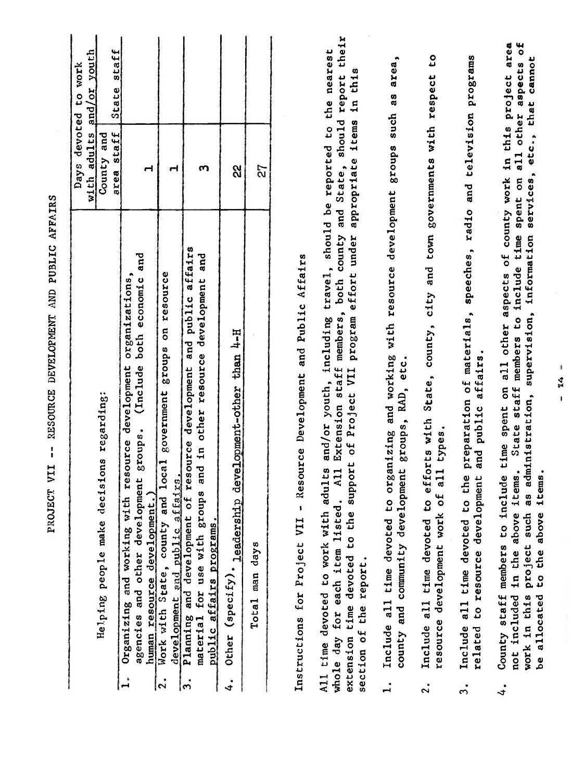| -- RESOURCE DEVELOPMENT AND PUBLIC AFFAIRS                                                                                                                                                                                                                                                                                                                                         |                                                                |                     |
|------------------------------------------------------------------------------------------------------------------------------------------------------------------------------------------------------------------------------------------------------------------------------------------------------------------------------------------------------------------------------------|----------------------------------------------------------------|---------------------|
| decisions regarding:<br>Helping people make                                                                                                                                                                                                                                                                                                                                        | <u>doue</u><br>devoted<br>County and<br>adults<br>Days<br>with | or youth<br>to work |
| both economic and<br>organizations,<br>(Include<br>ith resource development<br>agencies and other development groups.<br>human resource development.<br>З<br>Organizing and working<br>$\mathbf{L}^*$                                                                                                                                                                              | area staff<br>ᅥ                                                | State staff         |
| and local government groups on resource<br>development and public affairs.<br>Work with State, county<br>ြ.                                                                                                                                                                                                                                                                        | ᆏ                                                              |                     |
| of resource development and public affairs<br>and<br>other resource development<br>and in<br>Planning and development of r<br>material for use with groups<br>public affairs programs.<br>$\cdot$                                                                                                                                                                                  | S                                                              |                     |
| Other (specify). leadership development-other than 4-H<br>$\ddot{ }$                                                                                                                                                                                                                                                                                                               | လ္လ                                                            |                     |
| Total man days                                                                                                                                                                                                                                                                                                                                                                     | 27                                                             |                     |
| Resource Development and Public Affairs<br>$\mathbf{I}$<br>Instructions for Project VII                                                                                                                                                                                                                                                                                            |                                                                |                     |
| including travel, should be reported to the nearest<br>Extension staff members, both county<br>support of Project VII program effort under<br>and/or youth,<br>adults<br>A11<br>whole day for each item listed<br>All time devoted to work with<br>time devoted to the<br>report.<br>the<br>section of<br>extension                                                                | appropriate items in this<br>and State,                        | should report their |
| to organizing and working with resource development groups such as area,<br>county and community development groups, RAD, etc.<br>Include all time devoted<br>$\mathbf{I}$                                                                                                                                                                                                         |                                                                |                     |
| to efforts with State, county, city and town governments with respect<br>of all types.<br>resource development work<br>Include all time devoted<br>$\ddot{2}$ .                                                                                                                                                                                                                    |                                                                | CO <sub>1</sub>     |
| to the preparation of materials, speeches, radio and television programs<br>and public affairs.<br>to resource development<br>all time devoted<br>Include<br>related<br>$\ddot{ }$                                                                                                                                                                                                 |                                                                |                     |
| State staff members to include time spent on all other aspects of<br>other aspects of county work in this project<br>information<br>supervision,<br>County staff members to include time spent on all<br>administration,<br>items.<br>items.<br>ග<br>අ<br>in the above<br>project such<br>above<br>the<br>Co<br>in this<br>allocated<br>not included<br>work<br>ەم<br>$\ddot{4}$ . | etc., that<br>services,                                        | area<br>cannot      |
| 14                                                                                                                                                                                                                                                                                                                                                                                 |                                                                |                     |